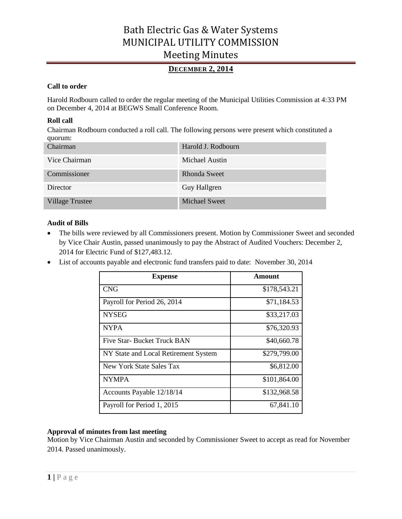# **DECEMBER 2, 2014**

## **Call to order**

Harold Rodbourn called to order the regular meeting of the Municipal Utilities Commission at 4:33 PM on December 4, 2014 at BEGWS Small Conference Room.

## **Roll call**

Chairman Rodbourn conducted a roll call. The following persons were present which constituted a quorum:

| Chairman               | Harold J. Rodbourn  |
|------------------------|---------------------|
| Vice Chairman          | Michael Austin      |
| Commissioner           | <b>Rhonda Sweet</b> |
| Director               | Guy Hallgren        |
| <b>Village Trustee</b> | Michael Sweet       |

## **Audit of Bills**

- The bills were reviewed by all Commissioners present. Motion by Commissioner Sweet and seconded by Vice Chair Austin, passed unanimously to pay the Abstract of Audited Vouchers: December 2, 2014 for Electric Fund of \$127,483.12.
- List of accounts payable and electronic fund transfers paid to date: November 30, 2014

| <b>Expense</b>                       | Amount       |
|--------------------------------------|--------------|
| <b>CNG</b>                           | \$178,543.21 |
| Payroll for Period 26, 2014          | \$71,184.53  |
| <b>NYSEG</b>                         | \$33,217.03  |
| <b>NYPA</b>                          | \$76,320.93  |
| Five Star- Bucket Truck BAN          | \$40,660.78  |
| NY State and Local Retirement System | \$279,799.00 |
| New York State Sales Tax             | \$6,812.00   |
| <b>NYMPA</b>                         | \$101,864.00 |
| Accounts Payable 12/18/14            | \$132,968.58 |
| Payroll for Period 1, 2015           | 67,841.10    |

## **Approval of minutes from last meeting**

Motion by Vice Chairman Austin and seconded by Commissioner Sweet to accept as read for November 2014. Passed unanimously.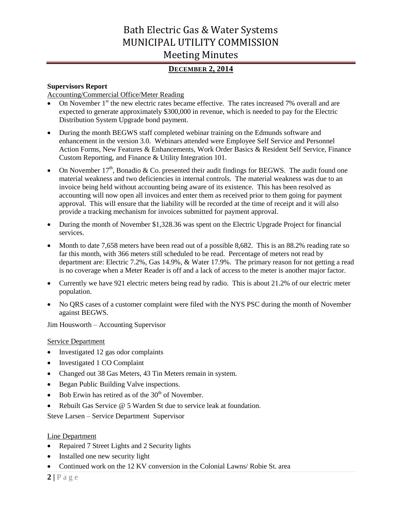# **DECEMBER 2, 2014**

### **Supervisors Report**

Accounting/Commercial Office/Meter Reading

- On November  $1<sup>st</sup>$  the new electric rates became effective. The rates increased 7% overall and are expected to generate approximately \$300,000 in revenue, which is needed to pay for the Electric Distribution System Upgrade bond payment.
- During the month BEGWS staff completed webinar training on the Edmunds software and enhancement in the version 3.0. Webinars attended were Employee Self Service and Personnel Action Forms, New Features & Enhancements, Work Order Basics & Resident Self Service, Finance Custom Reporting, and Finance & Utility Integration 101.
- On November  $17<sup>th</sup>$ , Bonadio & Co. presented their audit findings for BEGWS. The audit found one material weakness and two deficiencies in internal controls. The material weakness was due to an invoice being held without accounting being aware of its existence. This has been resolved as accounting will now open all invoices and enter them as received prior to them going for payment approval. This will ensure that the liability will be recorded at the time of receipt and it will also provide a tracking mechanism for invoices submitted for payment approval.
- During the month of November \$1,328.36 was spent on the Electric Upgrade Project for financial services.
- Month to date 7,658 meters have been read out of a possible 8,682. This is an 88.2% reading rate so far this month, with 366 meters still scheduled to be read. Percentage of meters not read by department are: Electric 7.2%, Gas 14.9%, & Water 17.9%. The primary reason for not getting a read is no coverage when a Meter Reader is off and a lack of access to the meter is another major factor.
- Currently we have 921 electric meters being read by radio. This is about 21.2% of our electric meter population.
- No QRS cases of a customer complaint were filed with the NYS PSC during the month of November against BEGWS.

Jim Housworth – Accounting Supervisor

### Service Department

- Investigated 12 gas odor complaints
- Investigated 1 CO Complaint
- Changed out 38 Gas Meters, 43 Tin Meters remain in system.
- Began Public Building Valve inspections.
- Bob Erwin has retired as of the  $30<sup>th</sup>$  of November.
- Rebuilt Gas Service @ 5 Warden St due to service leak at foundation.

Steve Larsen – Service Department Supervisor

## Line Department

- Repaired 7 Street Lights and 2 Security lights
- Installed one new security light
- Continued work on the 12 KV conversion in the Colonial Lawns/ Robie St. area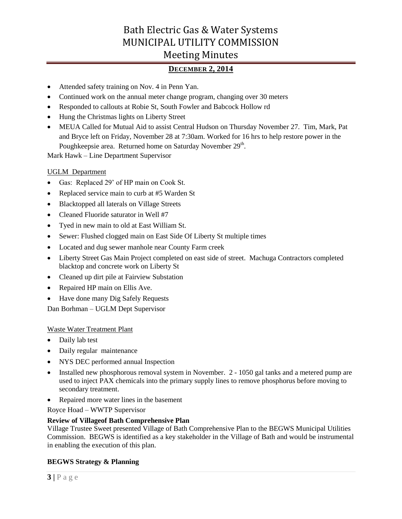# **DECEMBER 2, 2014**

- Attended safety training on Nov. 4 in Penn Yan.
- Continued work on the annual meter change program, changing over 30 meters
- Responded to callouts at Robie St, South Fowler and Babcock Hollow rd
- Hung the Christmas lights on Liberty Street
- MEUA Called for Mutual Aid to assist Central Hudson on Thursday November 27. Tim, Mark, Pat and Bryce left on Friday, November 28 at 7:30am. Worked for 16 hrs to help restore power in the Poughkeepsie area. Returned home on Saturday November 29<sup>th</sup>.

Mark Hawk – Line Department Supervisor

### UGLM Department

- Gas: Replaced 29' of HP main on Cook St.
- Replaced service main to curb at #5 Warden St
- Blacktopped all laterals on Village Streets
- Cleaned Fluoride saturator in Well #7
- Tyed in new main to old at East William St.
- Sewer: Flushed clogged main on East Side Of Liberty St multiple times
- Located and dug sewer manhole near County Farm creek
- Liberty Street Gas Main Project completed on east side of street. Machuga Contractors completed blacktop and concrete work on Liberty St
- Cleaned up dirt pile at Fairview Substation
- Repaired HP main on Ellis Ave.
- Have done many Dig Safely Requests

Dan Borhman – UGLM Dept Supervisor

### Waste Water Treatment Plant

- Daily lab test
- Daily regular maintenance
- NYS DEC performed annual Inspection
- Installed new phosphorous removal system in November. 2 1050 gal tanks and a metered pump are used to inject PAX chemicals into the primary supply lines to remove phosphorus before moving to secondary treatment.
- Repaired more water lines in the basement

Royce Hoad – WWTP Supervisor

### **Review of Villageof Bath Comprehensive Plan**

Village Trustee Sweet presented Village of Bath Comprehensive Plan to the BEGWS Municipal Utilities Commission. BEGWS is identified as a key stakeholder in the Village of Bath and would be instrumental in enabling the execution of this plan.

## **BEGWS Strategy & Planning**